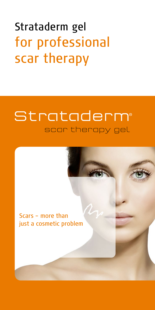# Strataderm gel for professional scar therapy

## Strataderm scar therapy gel

Scars – more than just a cosmetic problem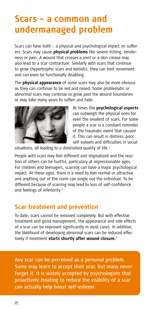## **Scars – a common and undermanaged problem**

Scars can have both – a physical and psychological impact on sufferers. Scars may cause **physical problems** like severe itching, tenderness or pain. A wound that crosses a joint or a skin crease may also lead to a scar contracture. Similarly with scars that continue to grow (hypertrophic scars and keloids), they can limit movement and can even be functionally disabling.

The **physical appearance** of some scars may also be more obvious as they can continue to be red and raised. Some problematic or abnormal scars may continue to grow past the wound boundaries or may take many years to soften and fade.



At times the **psychological aspects** can outweigh the physical ones for even the smallest of scars. For some people a scar is a constant reminder of the traumatic event that caused it. This can result in distress, poor self-esteem and difficulties in social

situations, all leading to a diminished quality of life. $1$ 

People with scars may feel different and stigmatized and the reaction of others can be hurtful, particulary at impressionable ages. For children and teenagers, scarring can have a major psychological impact. At these ages, there is a need to feel normal or attractive and anything out of the norm can single out the individual. To be different because of scarring may lead to loss of self-confidence and feelings of inferiority.<sup>2</sup>

### **Scar treatment and prevention**

To date, scars cannot be removed completely. But with effective treatment and good management, the appearance and side effects of a scar can be improved significantly in most cases. In addition, the likelihood of developing abnormal scars can be reduced effectively if treatment **starts shortly after wound closure.**<sup>3</sup>

Any scar can be perceived as a personal problem. Some may learn to accept their scar, but many never forget it. It is widely accepted by psychologists that proactively treating to reduce the visibility of a scar can actually help boost self-esteem.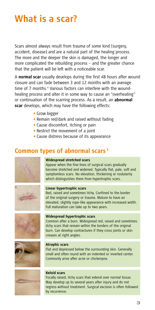## **What is a scar?**

Scars almost always result from trauma of some kind (surgery, accident, disease) and are a natural part of the healing process. The more and the deeper the skin is damaged, the longer and more complicated the rebuilding process – and the greater chance that the patient will be left with a noticeable scar.

A **normal scar** usually develops during the first 48 hours after wound closure and can fade between 3 and 12 months with an average time of 7 months.<sup>4</sup> Various factors can interfere with the woundhealing process and alter it in some way to cause an "overhealing" or continuation of the scarring process. As a result, an **abnormal scar** develops, which may have the following effects:

- **•** Grow bigger
- **•** Remain red/dark and raised without fading
- **•** Cause discomfort, itching or pain
- **•** Restrict the movement of a joint
- **•** Cause distress because of its appearance

### **Common types of abnormal scars <sup>3</sup>**



#### **Widespread stretched scars**

Appear when the fine lines of surgical scars gradually become stretched and widened. Typically flat, pale, soft and symptomless scars. No elevation, thickening or nodularity which distinguishes them from hypertrophic scars.



#### **Linear hypertrophic scars**

Red, raised and sometimes itchy. Confined to the border of the original surgery or trauma. Mature to have an elevated, slightly rope-like appearance with increased width. Full maturation can take up to two years.



### **Widespread hypertrophic scars**

Common after a burn. Widespread red, raised and sometimes itchy scars that remain within the borders of the original burn. Can develop contractures if they cross joints or skin creases at right angles.



#### **Atrophic scars**

Flat and depressed below the surrounding skin. Generally small and often round with an indented or inverted center. Commonly arise after acne or chickenpox.



#### **Keloid scars**

Focally raised, itchy scars that extend over normal tissue. May develop up to several years after injury and do not regress without treatment. Surgical excision is often followed by recurrence.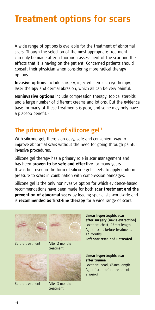## **Treatment options for scars**

A wide range of options is available for the treatment of abnormal scars. Though the selection of the most appropriate treatment can only be made after a thorough assessment of the scar and the effects that it is having on the patient. Concerned patients should consult their physician when considering more radical therapy options.

**Invasive options** include surgery, injected steroids, cryotherapy, laser therapy and dermal abrasion, which all can be very painful.

**Noninvasive options** include compression therapy, topical steroids and a large number of different creams and lotions. But the evidence base for many of these treatments is poor, and some may only have a placebo benefit. $<sup>1</sup>$ </sup>

### **The primary role of silicone gel <sup>3</sup>**

With silicone gel, there's an easy, safe and convenient way to improve abnormal scars without the need for going through painful invasive procedures.

Silicone gel therapy has a primary role in scar management and has been **proven to be safe and effective** for many years. It was first used in the form of silicone gel sheets to apply uniform pressure to scars in combination with compression bandages.

Silicone gel is the only noninvasive option for which evidence-based recommendations have been made for both **scar treatment and the prevention of abnormal scars** by leading specialists worldwide and is **recommended as first-line therapy** for a wide range of scars.





Before treatment

After 2 months treatment



Before treatment





After 3 months treatment

**Linear hypertrophic scar after surgery (nevis extraction)** Location: chest, 25mm length Age of scars before treatment: 14 months **Left scar remained untreated**

#### **Linear hypertrophic scar after trauma**

Location: head, 45mm length Age of scar before treatment: 2 weeks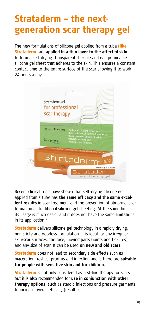## **Strataderm – the nextgeneration scar therapy gel**

The new formulations of silicone gel applied from a tube **(like Strataderm)** are **applied in a thin layer to the affected skin** to form a self-drying, transparent, flexible and gas-permeable silicone gel sheet that adheres to the skin. This ensures a constant contact time to the entire surface of the scar allowing it to work 24 hours a day.



Recent clinical trials have shown that self-drying silicone gel applied from a tube has **the same efficacy and the same excellent results** in scar treatment and the prevention of abnormal scar formation as traditional silicone gel sheeting. At the same time its usage is much easier and it does not have the same limitations in its application.<sup>6</sup>

**Strataderm** delivers silicone gel technology in a rapidly drying, non sticky and odorless formulation. It is ideal for any irregular skin/scar surfaces, the face, moving parts (joints and flexures) and any size of scar. It can be used **on new and old scars.**

**Strataderm** does not lead to secondary side effects such as maceration, rashes, pruritus and infection and is therefore **suitable for people with sensitive skin and for children.**

**Strataderm** is not only considered as first-line therapy for scars but it is also recommended for **use in conjunction with other therapy options,** such as steroid injections and pressure garments to increase overall efficacy (results).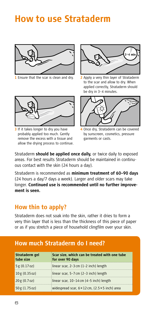## **How to use Strataderm**



**1** Ensure that the scar is clean and dry.



**3** If it takes longer to dry you have probably applied too much. Gently remove the excess with a tissue and allow the drying process to continue.



**2** Apply a very thin layer of Strataderm to the scar and allow to dry. When applied correctly, Strataderm should be dry in 3–4 minutes.



**4** Once dry, Strataderm can be covered by sunscreen, cosmetics, pressure garments or casts.

Strataderm **should be applied once daily,** or twice daily to exposed areas. For best results Strataderm should be maintained in continuous contact with the skin (24 hours a day).

Strataderm is recommended as **minimum treatment of 60–90 days** (24 hours a day/7 days a week). Larger and older scars may take longer. **Continued use is recommended until no further improvement is seen.**

### **How thin to apply?**

Strataderm does not soak into the skin, rather it dries to form a very thin layer that is less than the thickness of this piece of paper or as if you stretch a piece of household clingfilm over your skin.

#### **Strataderm gel tube size Scar size, which can be treated with one tube for over 90 days** 5 g (0.17 oz) linear scar, 2–3 cm (1–2 inch) length 10 g (0.35 oz) linear scar, 5–7 cm (2–3 inch) length  $20 g (0.7 oz)$  iinear scar,  $10-14 cm (4-5 inch)$  length 50 g (1.75 oz) widespread scar, 6 × 12 cm, (2.5 × 5 inch) area

### **How much Strataderm do I need?**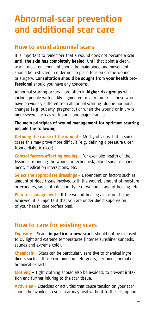## **Abnormal-scar prevention and additional scar care**

### **How to avoid abnormal scars**

It is important to remember that a wound does not become a scar **until the skin has completely healed.** Until that point a clean, warm, moist environment should be maintained and movement should be restricted in order not to place tension on the wound or surgery. **Consultation should be sought from your health professional** should you have any concerns.

Abnormal scarring occurs more often in **higher-risk groups** which include people with darkly pigmented or very fair skin, those who have previously suffered from abnormal scarring, during hormonal changes (e.g. puberty, pregnancy) or when the wound or injury is more severe such as with burns and major trauma.

#### **The main principles of wound management for optimum scarring include the following:**

**Defining the cause of the wound** – Mostly obvious, but in some cases this may prove more difficult (e.g. defining a pressure ulcer from a diabetic ulcer).

**Control factors affecting healing** – For example: health of the tissue surrounding the wound, infection risk, blood sugar management, medication interactions, etc.

**Select the appropriate dressings** – Dependent on factors such as amount of dead tissue involved with the wound, amount of moisture or exudates, signs of infection, type of wound, stage of healing, etc.

**Plan for management** – If the wound-healing aim is not being achieved, it is important that you are under direct supervision of your health care professional.

### **How to care for existing scars**

**Exposure** – Scars, **in particular new scars,** should not be exposed to UV light and extreme temperatures (intense sunshine, sunbeds, saunas and extreme cold).

**Chemicals** – Scars can be particularly sensitive to chemical ingredients such as those contained in detergents, perfumes, herbal or botanical extracts.

**Clothing** – Tight clothing should also be avoided, to prevent irritation and further injuring to the scar tissue.

**Activities** – Exercises or activities that cause tension on your scar should be avoided so your scar may heal without further disruption.